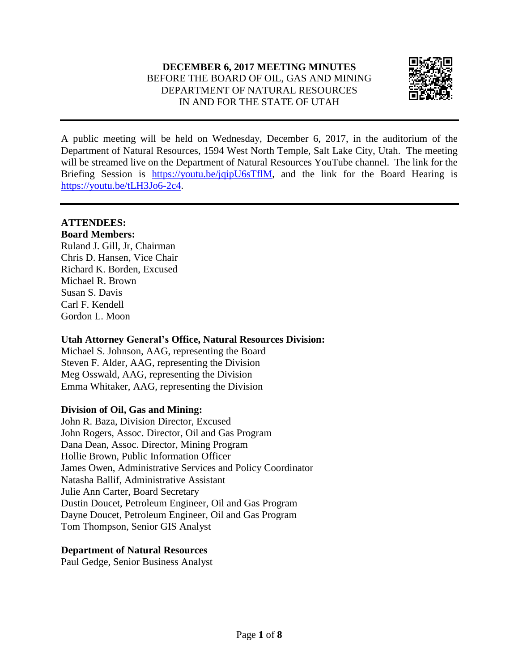#### **DECEMBER 6, 2017 MEETING MINUTES** BEFORE THE BOARD OF OIL, GAS AND MINING DEPARTMENT OF NATURAL RESOURCES IN AND FOR THE STATE OF UTAH



A public meeting will be held on Wednesday, December 6, 2017, in the auditorium of the Department of Natural Resources, 1594 West North Temple, Salt Lake City, Utah. The meeting will be streamed live on the Department of Natural Resources YouTube channel. The link for the Briefing Session is [https://youtu.be/jqipU6sTflM,](https://youtu.be/jqipU6sTflM) and the link for the Board Hearing is [https://youtu.be/tLH3Jo6-2c4.](https://youtu.be/tLH3Jo6-2c4)

#### **ATTENDEES:**

**Board Members:** Ruland J. Gill, Jr, Chairman Chris D. Hansen, Vice Chair Richard K. Borden, Excused Michael R. Brown Susan S. Davis Carl F. Kendell Gordon L. Moon

#### **Utah Attorney General's Office, Natural Resources Division:**

Michael S. Johnson, AAG, representing the Board Steven F. Alder, AAG, representing the Division Meg Osswald, AAG, representing the Division Emma Whitaker, AAG, representing the Division

#### **Division of Oil, Gas and Mining:**

John R. Baza, Division Director, Excused John Rogers, Assoc. Director, Oil and Gas Program Dana Dean, Assoc. Director, Mining Program Hollie Brown, Public Information Officer James Owen, Administrative Services and Policy Coordinator Natasha Ballif, Administrative Assistant Julie Ann Carter, Board Secretary Dustin Doucet, Petroleum Engineer, Oil and Gas Program Dayne Doucet, Petroleum Engineer, Oil and Gas Program Tom Thompson, Senior GIS Analyst

#### **Department of Natural Resources**

Paul Gedge, Senior Business Analyst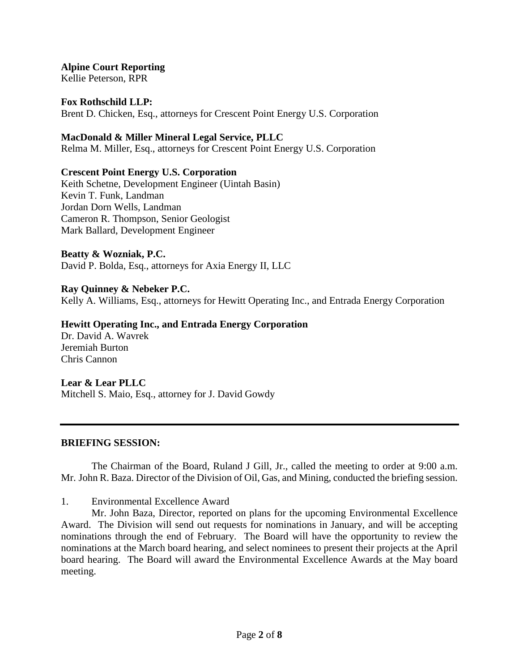**Alpine Court Reporting** Kellie Peterson, RPR

**Fox Rothschild LLP:**

Brent D. Chicken, Esq., attorneys for Crescent Point Energy U.S. Corporation

**MacDonald & Miller Mineral Legal Service, PLLC**

Relma M. Miller, Esq., attorneys for Crescent Point Energy U.S. Corporation

#### **Crescent Point Energy U.S. Corporation**

Keith Schetne, Development Engineer (Uintah Basin) Kevin T. Funk, Landman Jordan Dorn Wells, Landman Cameron R. Thompson, Senior Geologist Mark Ballard, Development Engineer

#### **Beatty & Wozniak, P.C.**

David P. Bolda, Esq., attorneys for Axia Energy II, LLC

#### **Ray Quinney & Nebeker P.C.**

Kelly A. Williams, Esq., attorneys for Hewitt Operating Inc., and Entrada Energy Corporation

#### **Hewitt Operating Inc., and Entrada Energy Corporation**

Dr. David A. Wavrek Jeremiah Burton Chris Cannon

#### **Lear & Lear PLLC**

Mitchell S. Maio, Esq., attorney for J. David Gowdy

#### **BRIEFING SESSION:**

The Chairman of the Board, Ruland J Gill, Jr., called the meeting to order at 9:00 a.m. Mr. John R. Baza. Director of the Division of Oil, Gas, and Mining, conducted the briefing session.

1. Environmental Excellence Award

Mr. John Baza, Director, reported on plans for the upcoming Environmental Excellence Award. The Division will send out requests for nominations in January, and will be accepting nominations through the end of February. The Board will have the opportunity to review the nominations at the March board hearing, and select nominees to present their projects at the April board hearing. The Board will award the Environmental Excellence Awards at the May board meeting.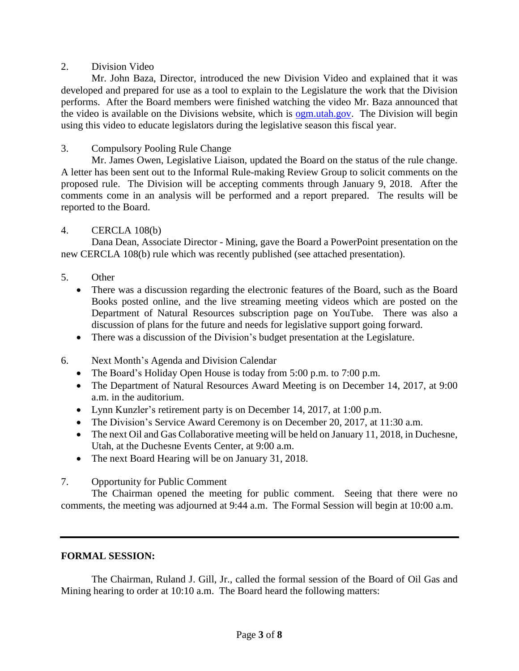#### 2. Division Video

Mr. John Baza, Director, introduced the new Division Video and explained that it was developed and prepared for use as a tool to explain to the Legislature the work that the Division performs. After the Board members were finished watching the video Mr. Baza announced that the video is available on the Divisions website, which is [ogm.utah.gov.](http://ogm.utah.gov/) The Division will begin using this video to educate legislators during the legislative season this fiscal year.

#### 3. Compulsory Pooling Rule Change

Mr. James Owen, Legislative Liaison, updated the Board on the status of the rule change. A letter has been sent out to the Informal Rule-making Review Group to solicit comments on the proposed rule. The Division will be accepting comments through January 9, 2018. After the comments come in an analysis will be performed and a report prepared. The results will be reported to the Board.

#### 4. CERCLA 108(b)

Dana Dean, Associate Director - Mining, gave the Board a PowerPoint presentation on the new CERCLA 108(b) rule which was recently published (see attached presentation).

#### 5. Other

- There was a discussion regarding the electronic features of the Board, such as the Board Books posted online, and the live streaming meeting videos which are posted on the Department of Natural Resources subscription page on YouTube. There was also a discussion of plans for the future and needs for legislative support going forward.
- There was a discussion of the Division's budget presentation at the Legislature.
- 6. Next Month's Agenda and Division Calendar
	- The Board's Holiday Open House is today from 5:00 p.m. to 7:00 p.m.
	- The Department of Natural Resources Award Meeting is on December 14, 2017, at 9:00 a.m. in the auditorium.
	- Lynn Kunzler's retirement party is on December 14, 2017, at 1:00 p.m.
	- The Division's Service Award Ceremony is on December 20, 2017, at 11:30 a.m.
	- The next Oil and Gas Collaborative meeting will be held on January 11, 2018, in Duchesne, Utah, at the Duchesne Events Center, at 9:00 a.m.
	- The next Board Hearing will be on January 31, 2018.
- 7. Opportunity for Public Comment

The Chairman opened the meeting for public comment. Seeing that there were no comments, the meeting was adjourned at 9:44 a.m. The Formal Session will begin at 10:00 a.m.

#### **FORMAL SESSION:**

The Chairman, Ruland J. Gill, Jr., called the formal session of the Board of Oil Gas and Mining hearing to order at 10:10 a.m. The Board heard the following matters: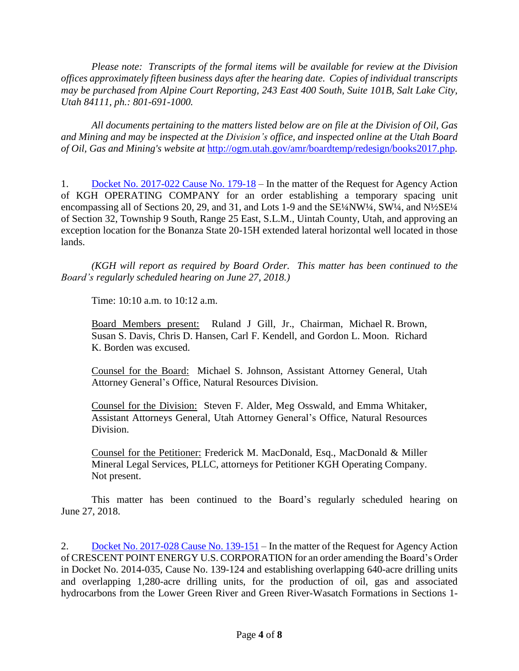*Please note: Transcripts of the formal items will be available for review at the Division offices approximately fifteen business days after the hearing date. Copies of individual transcripts may be purchased from Alpine Court Reporting, 243 East 400 South, Suite 101B, Salt Lake City, Utah 84111, ph.: 801-691-1000.*

*All documents pertaining to the matters listed below are on file at the Division of Oil, Gas and Mining and may be inspected at the Division's office, and inspected online at the Utah Board of Oil, Gas and Mining's website at* <http://ogm.utah.gov/amr/boardtemp/redesign/books2017.php>*.*

1. Docket No. [2017-022](http://ogm.utah.gov/amr/boardtemp/redesign/2017/12_Dec/Dockets/2017-022_179-18_KGH.php) Cause No. 179-18 – In the matter of the Request for Agency Action of KGH OPERATING COMPANY for an order establishing a temporary spacing unit encompassing all of Sections 20, 29, and 31, and Lots 1-9 and the SE¼NW¼, SW¼, and N½SE¼ of Section 32, Township 9 South, Range 25 East, S.L.M., Uintah County, Utah, and approving an exception location for the Bonanza State 20-15H extended lateral horizontal well located in those lands.

*(KGH will report as required by Board Order. This matter has been continued to the Board's regularly scheduled hearing on June 27, 2018.)*

Time: 10:10 a.m. to 10:12 a.m.

Board Members present: Ruland J Gill, Jr., Chairman, Michael R. Brown, Susan S. Davis, Chris D. Hansen, Carl F. Kendell, and Gordon L. Moon. Richard K. Borden was excused.

Counsel for the Board: Michael S. Johnson, Assistant Attorney General, Utah Attorney General's Office, Natural Resources Division.

Counsel for the Division: Steven F. Alder, Meg Osswald, and Emma Whitaker, Assistant Attorneys General, Utah Attorney General's Office, Natural Resources Division.

Counsel for the Petitioner: Frederick M. MacDonald, Esq., MacDonald & Miller Mineral Legal Services, PLLC, attorneys for Petitioner KGH Operating Company. Not present.

This matter has been continued to the Board's regularly scheduled hearing on June 27, 2018.

2. Docket No. [2017-028](http://ogm.utah.gov/amr/boardtemp/redesign/2017/12_Dec/Dockets/2017-028_139-151_Crescent.php) Cause No. 139-151 – In the matter of the Request for Agency Action of CRESCENT POINT ENERGY U.S. CORPORATION for an order amending the Board's Order in Docket No. 2014-035, Cause No. 139-124 and establishing overlapping 640-acre drilling units and overlapping 1,280-acre drilling units, for the production of oil, gas and associated hydrocarbons from the Lower Green River and Green River-Wasatch Formations in Sections 1-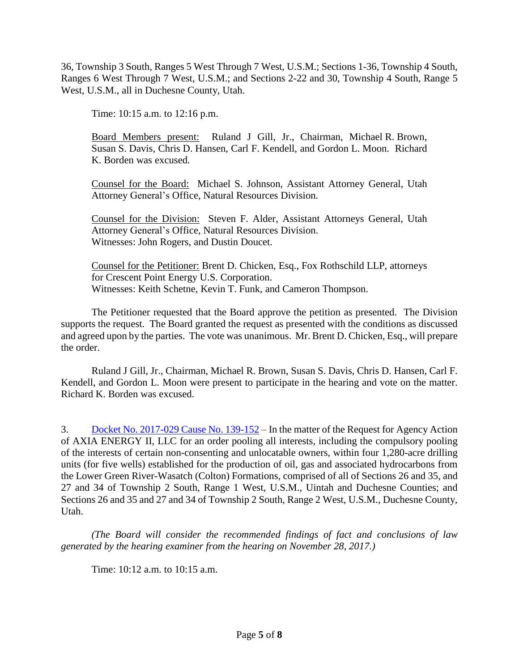36, Township 3 South, Ranges 5 West Through 7 West, U.S.M.; Sections 1-36, Township 4 South, Ranges 6 West Through 7 West, U.S.M.; and Sections 2-22 and 30, Township 4 South, Range 5 West, U.S.M., all in Duchesne County, Utah.

Time: 10:15 a.m. to 12:16 p.m.

Board Members present: Ruland J Gill, Jr., Chairman, Michael R. Brown, Susan S. Davis, Chris D. Hansen, Carl F. Kendell, and Gordon L. Moon. Richard K. Borden was excused.

Counsel for the Board: Michael S. Johnson, Assistant Attorney General, Utah Attorney General's Office, Natural Resources Division.

Counsel for the Division: Steven F. Alder, Assistant Attorneys General, Utah Attorney General's Office, Natural Resources Division. Witnesses: John Rogers, and Dustin Doucet.

Counsel for the Petitioner: Brent D. Chicken, Esq., Fox Rothschild LLP, attorneys for Crescent Point Energy U.S. Corporation. Witnesses: Keith Schetne, Kevin T. Funk, and Cameron Thompson.

The Petitioner requested that the Board approve the petition as presented. The Division supports the request. The Board granted the request as presented with the conditions as discussed and agreed upon by the parties. The vote was unanimous. Mr. Brent D. Chicken, Esq., will prepare the order.

Ruland J Gill, Jr., Chairman, Michael R. Brown, Susan S. Davis, Chris D. Hansen, Carl F. Kendell, and Gordon L. Moon were present to participate in the hearing and vote on the matter. Richard K. Borden was excused.

3. Docket No. [2017-029](http://ogm.utah.gov/amr/boardtemp/redesign/2017/12_Dec/Dockets/2017-029_139-152_Axia.php) Cause No. 139-152 – In the matter of the Request for Agency Action of AXIA ENERGY II, LLC for an order pooling all interests, including the compulsory pooling of the interests of certain non-consenting and unlocatable owners, within four 1,280-acre drilling units (for five wells) established for the production of oil, gas and associated hydrocarbons from the Lower Green River-Wasatch (Colton) Formations, comprised of all of Sections 26 and 35, and 27 and 34 of Township 2 South, Range 1 West, U.S.M., Uintah and Duchesne Counties; and Sections 26 and 35 and 27 and 34 of Township 2 South, Range 2 West, U.S.M., Duchesne County, Utah.

*(The Board will consider the recommended findings of fact and conclusions of law generated by the hearing examiner from the hearing on November 28, 2017.)*

Time: 10:12 a.m. to 10:15 a.m.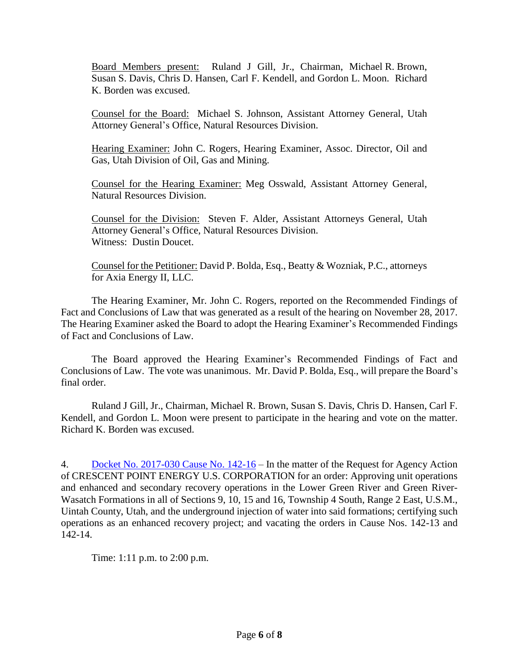Board Members present: Ruland J Gill, Jr., Chairman, Michael R. Brown, Susan S. Davis, Chris D. Hansen, Carl F. Kendell, and Gordon L. Moon. Richard K. Borden was excused.

Counsel for the Board: Michael S. Johnson, Assistant Attorney General, Utah Attorney General's Office, Natural Resources Division.

Hearing Examiner: John C. Rogers, Hearing Examiner, Assoc. Director, Oil and Gas, Utah Division of Oil, Gas and Mining.

Counsel for the Hearing Examiner: Meg Osswald, Assistant Attorney General, Natural Resources Division.

Counsel for the Division: Steven F. Alder, Assistant Attorneys General, Utah Attorney General's Office, Natural Resources Division. Witness: Dustin Doucet.

Counsel for the Petitioner: David P. Bolda, Esq., Beatty & Wozniak, P.C., attorneys for Axia Energy II, LLC.

The Hearing Examiner, Mr. John C. Rogers, reported on the Recommended Findings of Fact and Conclusions of Law that was generated as a result of the hearing on November 28, 2017. The Hearing Examiner asked the Board to adopt the Hearing Examiner's Recommended Findings of Fact and Conclusions of Law.

The Board approved the Hearing Examiner's Recommended Findings of Fact and Conclusions of Law. The vote was unanimous. Mr. David P. Bolda, Esq., will prepare the Board's final order.

Ruland J Gill, Jr., Chairman, Michael R. Brown, Susan S. Davis, Chris D. Hansen, Carl F. Kendell, and Gordon L. Moon were present to participate in the hearing and vote on the matter. Richard K. Borden was excused.

4. Docket No. [2017-030](http://ogm.utah.gov/amr/boardtemp/redesign/2017/12_Dec/Dockets/2017-030_142-16_Crescent.php) Cause No. 142-16 – In the matter of the Request for Agency Action of CRESCENT POINT ENERGY U.S. CORPORATION for an order: Approving unit operations and enhanced and secondary recovery operations in the Lower Green River and Green River-Wasatch Formations in all of Sections 9, 10, 15 and 16, Township 4 South, Range 2 East, U.S.M., Uintah County, Utah, and the underground injection of water into said formations; certifying such operations as an enhanced recovery project; and vacating the orders in Cause Nos. 142-13 and 142-14.

Time: 1:11 p.m. to 2:00 p.m.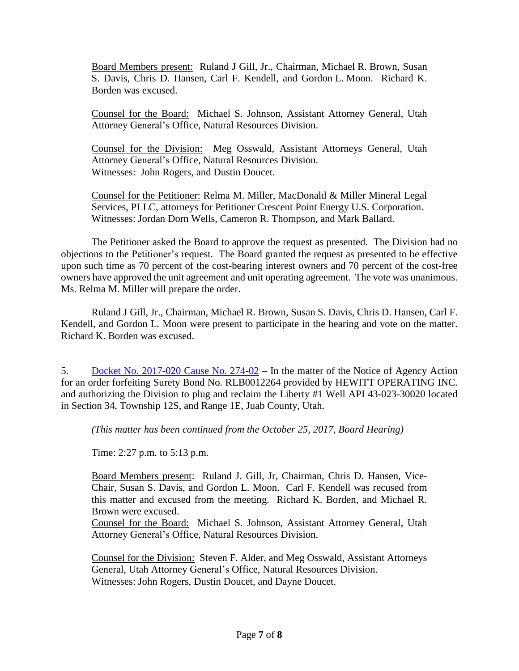Board Members present: Ruland J Gill, Jr., Chairman, Michael R. Brown, Susan S. Davis, Chris D. Hansen, Carl F. Kendell, and Gordon L. Moon. Richard K. Borden was excused.

Counsel for the Board: Michael S. Johnson, Assistant Attorney General, Utah Attorney General's Office, Natural Resources Division.

Counsel for the Division: Meg Osswald, Assistant Attorneys General, Utah Attorney General's Office, Natural Resources Division. Witnesses: John Rogers, and Dustin Doucet.

Counsel for the Petitioner: Relma M. Miller, MacDonald & Miller Mineral Legal Services, PLLC, attorneys for Petitioner Crescent Point Energy U.S. Corporation. Witnesses: Jordan Dorn Wells, Cameron R. Thompson, and Mark Ballard.

The Petitioner asked the Board to approve the request as presented. The Division had no objections to the Petitioner's request. The Board granted the request as presented to be effective upon such time as 70 percent of the cost-bearing interest owners and 70 percent of the cost-free owners have approved the unit agreement and unit operating agreement. The vote was unanimous. Ms. Relma M. Miller will prepare the order.

Ruland J Gill, Jr., Chairman, Michael R. Brown, Susan S. Davis, Chris D. Hansen, Carl F. Kendell, and Gordon L. Moon were present to participate in the hearing and vote on the matter. Richard K. Borden was excused.

5. Docket No. [2017-020](http://ogm.utah.gov/amr/boardtemp/redesign/2017/12_Dec/Dockets/2017-020_274-02_Hewitt.php) Cause No. 274-02 – In the matter of the Notice of Agency Action for an order forfeiting Surety Bond No. RLB0012264 provided by HEWITT OPERATING INC. and authorizing the Division to plug and reclaim the Liberty #1 Well API 43-023-30020 located in Section 34, Township 12S, and Range 1E, Juab County, Utah.

*(This matter has been continued from the October 25, 2017, Board Hearing)*

Time: 2:27 p.m. to 5:13 p.m.

Board Members present: Ruland J. Gill, Jr, Chairman, Chris D. Hansen, Vice-Chair, Susan S. Davis, and Gordon L. Moon. Carl F. Kendell was recused from this matter and excused from the meeting. Richard K. Borden, and Michael R. Brown were excused.

Counsel for the Board: Michael S. Johnson, Assistant Attorney General, Utah Attorney General's Office, Natural Resources Division.

Counsel for the Division: Steven F. Alder, and Meg Osswald, Assistant Attorneys General, Utah Attorney General's Office, Natural Resources Division. Witnesses: John Rogers, Dustin Doucet, and Dayne Doucet.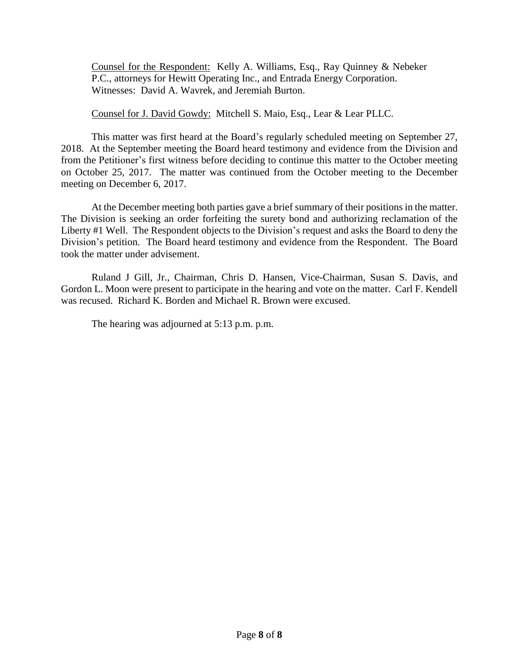Counsel for the Respondent: Kelly A. Williams, Esq., Ray Quinney & Nebeker P.C., attorneys for Hewitt Operating Inc., and Entrada Energy Corporation. Witnesses: David A. Wavrek, and Jeremiah Burton.

Counsel for J. David Gowdy: Mitchell S. Maio, Esq., Lear & Lear PLLC.

This matter was first heard at the Board's regularly scheduled meeting on September 27, 2018. At the September meeting the Board heard testimony and evidence from the Division and from the Petitioner's first witness before deciding to continue this matter to the October meeting on October 25, 2017. The matter was continued from the October meeting to the December meeting on December 6, 2017.

At the December meeting both parties gave a brief summary of their positions in the matter. The Division is seeking an order forfeiting the surety bond and authorizing reclamation of the Liberty #1 Well. The Respondent objects to the Division's request and asks the Board to deny the Division's petition. The Board heard testimony and evidence from the Respondent. The Board took the matter under advisement.

Ruland J Gill, Jr., Chairman, Chris D. Hansen, Vice-Chairman, Susan S. Davis, and Gordon L. Moon were present to participate in the hearing and vote on the matter. Carl F. Kendell was recused. Richard K. Borden and Michael R. Brown were excused.

The hearing was adjourned at 5:13 p.m. p.m.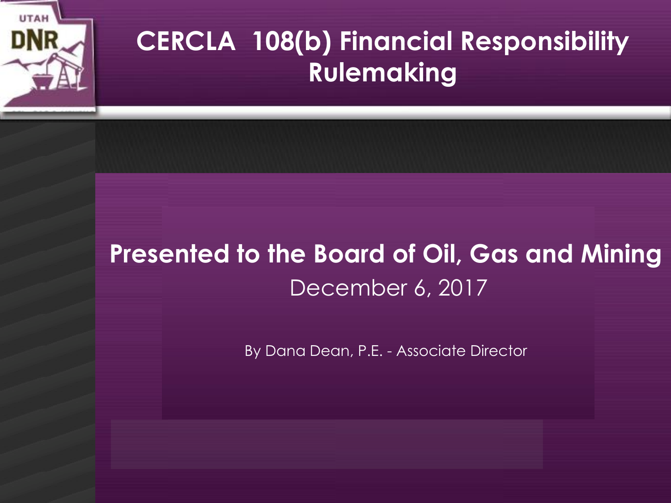

## **CERCLA 108(b) Financial Responsibility Rulemaking**

## **Presented to the Board of Oil, Gas and Mining**  December 6, 2017

By Dana Dean, P.E. - Associate Director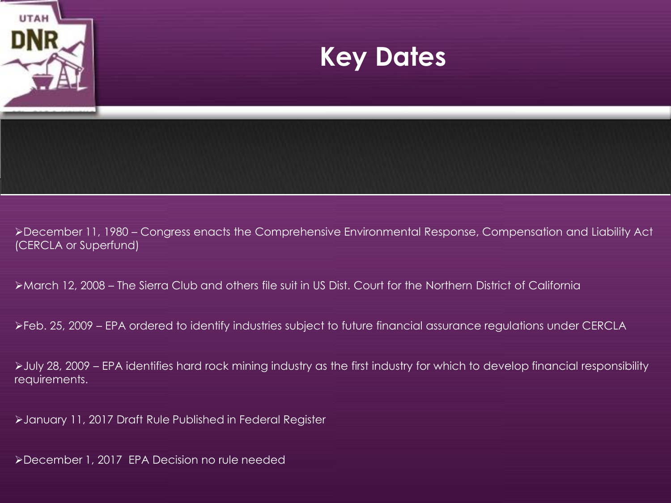

December 11, 1980 – Congress enacts the Comprehensive Environmental Response, Compensation and Liability Act (CERCLA or Superfund)

March 12, 2008 – The Sierra Club and others file suit in US Dist. Court for the Northern District of California

Feb. 25, 2009 – EPA ordered to identify industries subject to future financial assurance regulations under CERCLA

July 28, 2009 – EPA identifies hard rock mining industry as the first industry for which to develop financial responsibility requirements.

January 11, 2017 Draft Rule Published in Federal Register

December 1, 2017 EPA Decision no rule needed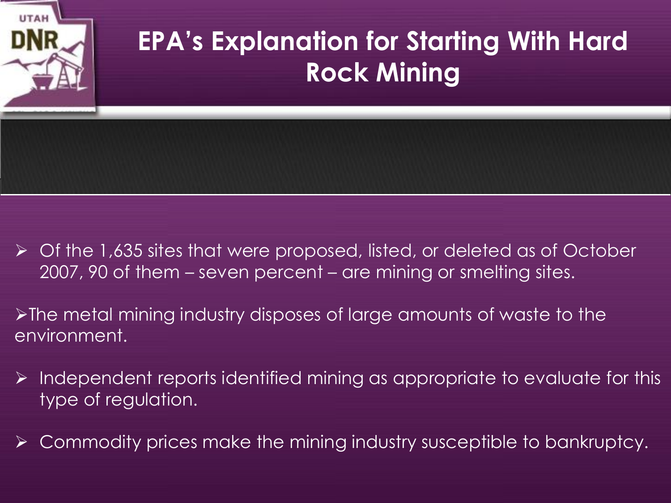

- Of the 1,635 sites that were proposed, listed, or deleted as of October 2007, 90 of them – seven percent – are mining or smelting sites.
- The metal mining industry disposes of large amounts of waste to the environment.
- $\triangleright$  Independent reports identified mining as appropriate to evaluate for this type of regulation.
- $\triangleright$  Commodity prices make the mining industry susceptible to bankruptcy.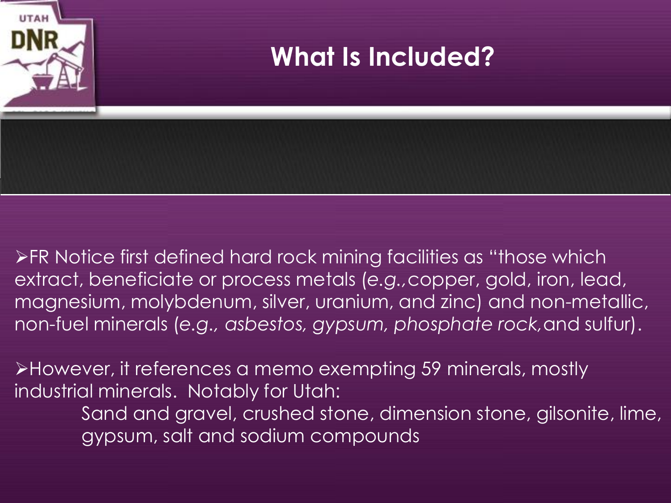

FR Notice first defined hard rock mining facilities as "those which extract, beneficiate or process metals (*e.g.,*copper, gold, iron, lead, magnesium, molybdenum, silver, uranium, and zinc) and non-metallic, non-fuel minerals (*e.g., asbestos, gypsum, phosphate rock,*and sulfur).

However, it references a memo exempting 59 minerals, mostly industrial minerals. Notably for Utah: Sand and gravel, crushed stone, dimension stone, gilsonite, lime,

gypsum, salt and sodium compounds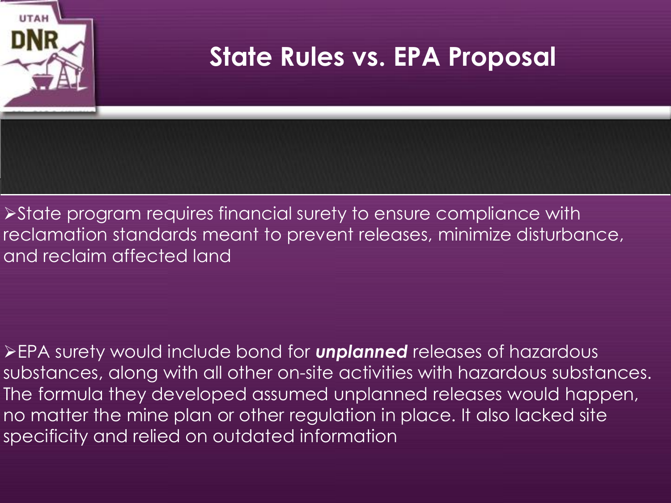

**>State program requires financial surety to ensure compliance with** reclamation standards meant to prevent releases, minimize disturbance, and reclaim affected land

EPA surety would include bond for *unplanned* releases of hazardous substances, along with all other on-site activities with hazardous substances. The formula they developed assumed unplanned releases would happen, no matter the mine plan or other regulation in place. It also lacked site specificity and relied on outdated information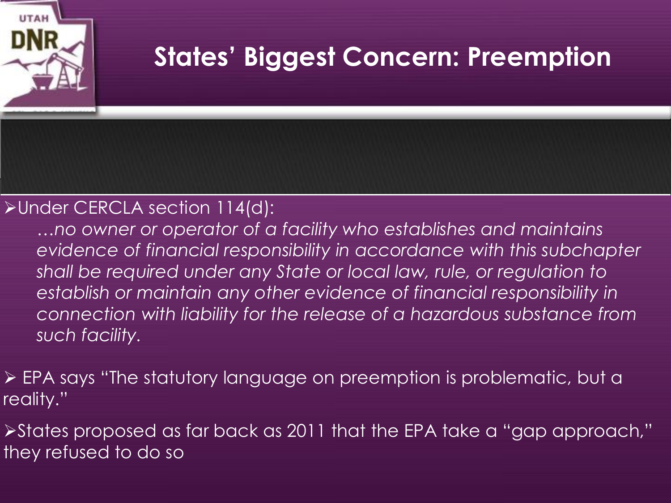# **States' Biggest Concern: Preemption**

### Under CERCLA section 114(d):

*…no owner or operator of a facility who establishes and maintains evidence of financial responsibility in accordance with this subchapter shall be required under any State or local law, rule, or regulation to*  establish or maintain any other evidence of financial responsibility in *connection with liability for the release of a hazardous substance from such facility.*

 EPA says "The statutory language on preemption is problematic, but a reality."

States proposed as far back as 2011 that the EPA take a "gap approach," they refused to do so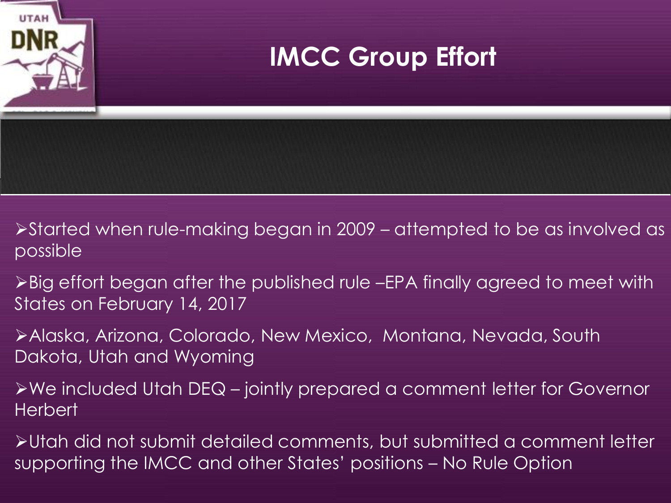

- Started when rule-making began in 2009 attempted to be as involved as possible
- Big effort began after the published rule –EPA finally agreed to meet with States on February 14, 2017
- Alaska, Arizona, Colorado, New Mexico, Montana, Nevada, South Dakota, Utah and Wyoming
- We included Utah DEQ jointly prepared a comment letter for Governor **Herbert**
- Utah did not submit detailed comments, but submitted a comment letter supporting the IMCC and other States' positions – No Rule Option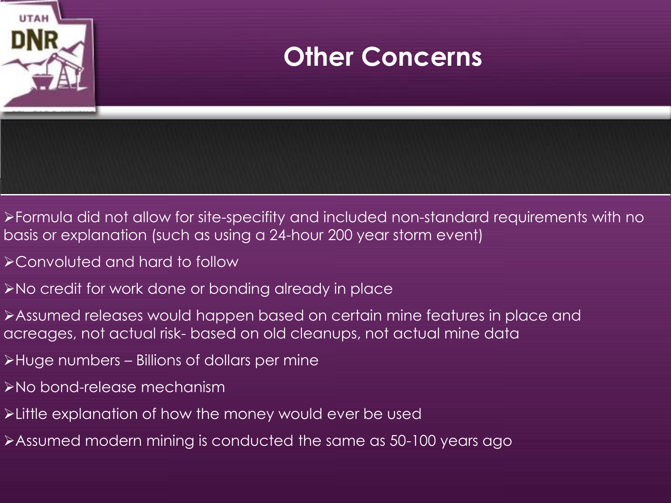

- Formula did not allow for site-specifity and included non-standard requirements with no basis or explanation (such as using a 24-hour 200 year storm event)
- Convoluted and hard to follow
- No credit for work done or bonding already in place
- Assumed releases would happen based on certain mine features in place and acreages, not actual risk- based on old cleanups, not actual mine data
- Huge numbers Billions of dollars per mine
- No bond-release mechanism
- Little explanation of how the money would ever be used
- >Assumed modern mining is conducted the same as 50-100 years ago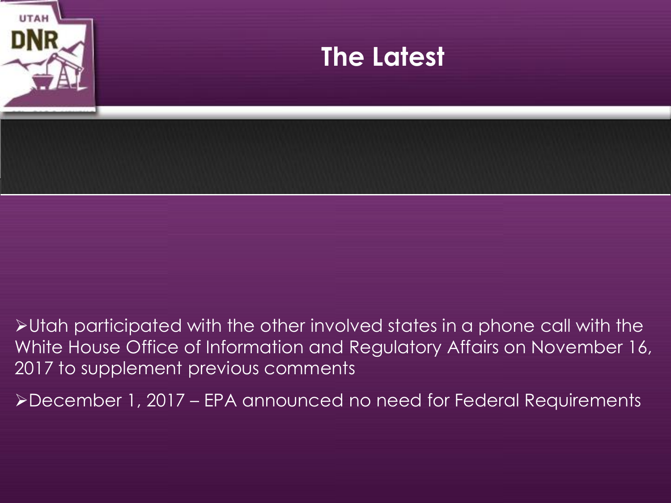

Utah participated with the other involved states in a phone call with the White House Office of Information and Regulatory Affairs on November 16, 2017 to supplement previous comments

December 1, 2017 – EPA announced no need for Federal Requirements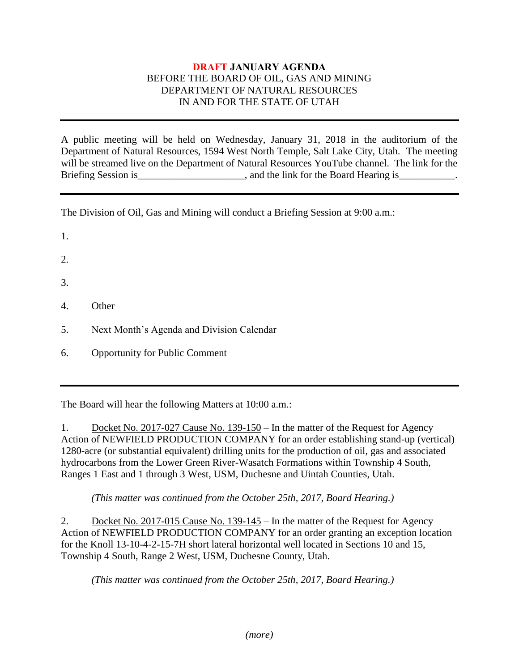#### **DRAFT JANUARY AGENDA** BEFORE THE BOARD OF OIL, GAS AND MINING DEPARTMENT OF NATURAL RESOURCES IN AND FOR THE STATE OF UTAH

A public meeting will be held on Wednesday, January 31, 2018 in the auditorium of the Department of Natural Resources, 1594 West North Temple, Salt Lake City, Utah. The meeting will be streamed live on the Department of Natural Resources YouTube channel. The link for the Briefing Session is \_\_\_\_\_\_\_\_\_\_\_\_\_\_\_\_\_, and the link for the Board Hearing is\_\_\_\_\_\_\_\_\_.

The Division of Oil, Gas and Mining will conduct a Briefing Session at 9:00 a.m.:

- 1.
- 2.
- 3.
- 4. Other
- 5. Next Month's Agenda and Division Calendar
- 6. Opportunity for Public Comment

The Board will hear the following Matters at 10:00 a.m.:

1. Docket No. 2017-027 Cause No. 139-150 – In the matter of the Request for Agency Action of NEWFIELD PRODUCTION COMPANY for an order establishing stand-up (vertical) 1280-acre (or substantial equivalent) drilling units for the production of oil, gas and associated hydrocarbons from the Lower Green River-Wasatch Formations within Township 4 South, Ranges 1 East and 1 through 3 West, USM, Duchesne and Uintah Counties, Utah.

*(This matter was continued from the October 25th, 2017, Board Hearing.)*

2. Docket No. 2017-015 Cause No. 139-145 – In the matter of the Request for Agency Action of NEWFIELD PRODUCTION COMPANY for an order granting an exception location for the Knoll 13-10-4-2-15-7H short lateral horizontal well located in Sections 10 and 15, Township 4 South, Range 2 West, USM, Duchesne County, Utah.

*(This matter was continued from the October 25th, 2017, Board Hearing.)*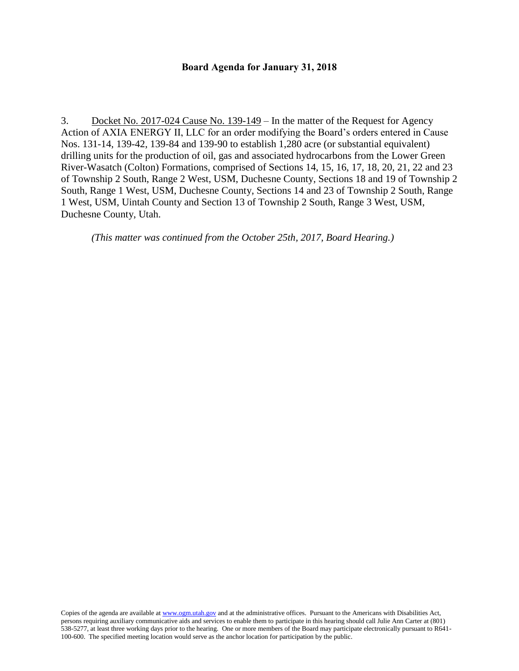#### **Board Agenda for January 31, 2018**

3. Docket No. 2017-024 Cause No. 139-149 – In the matter of the Request for Agency Action of AXIA ENERGY II, LLC for an order modifying the Board's orders entered in Cause Nos. 131-14, 139-42, 139-84 and 139-90 to establish 1,280 acre (or substantial equivalent) drilling units for the production of oil, gas and associated hydrocarbons from the Lower Green River-Wasatch (Colton) Formations, comprised of Sections 14, 15, 16, 17, 18, 20, 21, 22 and 23 of Township 2 South, Range 2 West, USM, Duchesne County, Sections 18 and 19 of Township 2 South, Range 1 West, USM, Duchesne County, Sections 14 and 23 of Township 2 South, Range 1 West, USM, Uintah County and Section 13 of Township 2 South, Range 3 West, USM, Duchesne County, Utah.

*(This matter was continued from the October 25th, 2017, Board Hearing.)*

Copies of the agenda are available a[t www.ogm.utah.gov](http://www.ogm.utah.gov/) and at the administrative offices. Pursuant to the Americans with Disabilities Act, persons requiring auxiliary communicative aids and services to enable them to participate in this hearing should call Julie Ann Carter at (801) 538-5277, at least three working days prior to the hearing. One or more members of the Board may participate electronically pursuant to R641- 100-600. The specified meeting location would serve as the anchor location for participation by the public.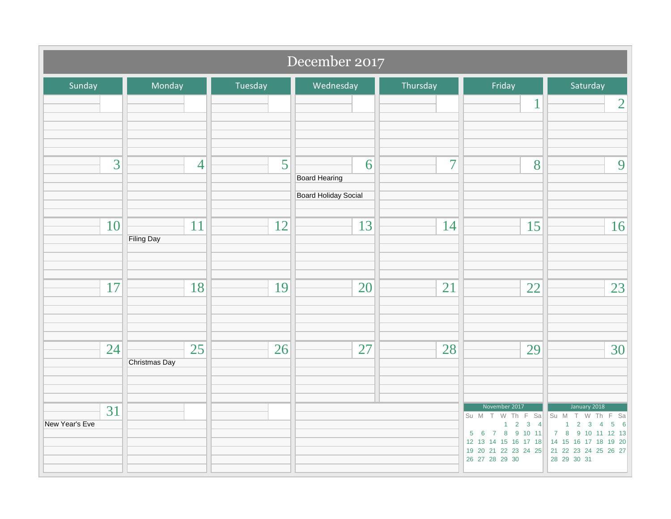| December 2017        |                         |         |                                                   |                |                                                                                                                                             |                                                                                                                                                                                                                     |  |
|----------------------|-------------------------|---------|---------------------------------------------------|----------------|---------------------------------------------------------------------------------------------------------------------------------------------|---------------------------------------------------------------------------------------------------------------------------------------------------------------------------------------------------------------------|--|
| Sunday               | Monday                  | Tuesday | Wednesday                                         | Thursday       | Friday                                                                                                                                      | Saturday                                                                                                                                                                                                            |  |
|                      |                         |         |                                                   |                | 1                                                                                                                                           | $\overline{2}$                                                                                                                                                                                                      |  |
| 3                    | $\overline{4}$          | 5       | 6<br><b>Board Hearing</b><br>Board Holiday Social | $\overline{7}$ | 8                                                                                                                                           | 9                                                                                                                                                                                                                   |  |
| 10                   | 11<br><b>Filing Day</b> | 12      | 13                                                | 14             | 15                                                                                                                                          | 16                                                                                                                                                                                                                  |  |
| 17                   | 18                      | 19      | 20                                                | 21             | 22                                                                                                                                          | 23                                                                                                                                                                                                                  |  |
| 24                   | 25<br>Christmas Day     | 26      | 27                                                | 28             | 29                                                                                                                                          | 30                                                                                                                                                                                                                  |  |
| 31<br>New Year's Eve |                         |         |                                                   |                | November 2017<br>Su M T W Th F Sa<br>$1 \quad 2 \quad 3 \quad 4$<br>$5 \t6 \t7 \t8 \t9 \t10 \t11$<br>19 20 21 22 23 24 25<br>26 27 28 29 30 | January 2018<br>Su M T W Th F Sa<br>$1 \quad 2 \quad 3$<br>$\sqrt{5}$<br>$\overline{4}$<br>$6\overline{6}$<br>7 8 9 10 11 12 13<br>12 13 14 15 16 17 18 14 15 16 17 18 19 20<br>21 22 23 24 25 26 27<br>28 29 30 31 |  |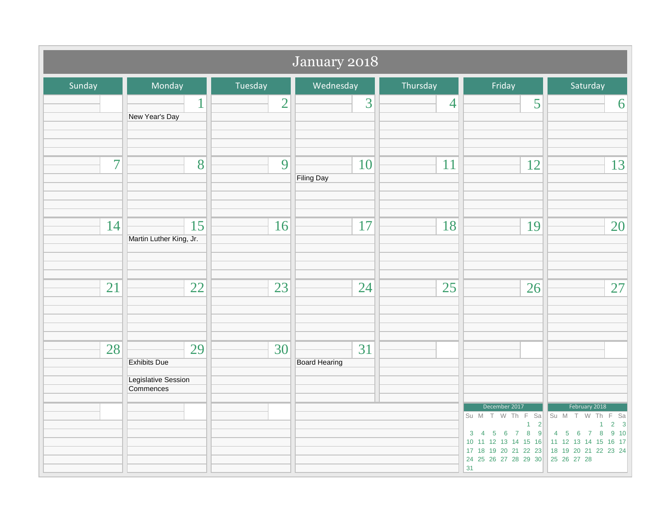| January 2018   |                                                                      |                |                            |                |                                                                                                                                                                                        |               |  |  |
|----------------|----------------------------------------------------------------------|----------------|----------------------------|----------------|----------------------------------------------------------------------------------------------------------------------------------------------------------------------------------------|---------------|--|--|
| Sunday         | Monday                                                               | Tuesday        | Wednesday                  | Thursday       | Friday                                                                                                                                                                                 | Saturday      |  |  |
|                | $\mathbf{1}$<br>New Year's Day                                       | $\overline{2}$ | 3                          | $\overline{4}$ | 5                                                                                                                                                                                      | 6             |  |  |
| $\overline{7}$ | 8                                                                    | 9              | 10<br><b>Filing Day</b>    | 11             | 12                                                                                                                                                                                     | 13            |  |  |
| 14             | 15<br>Martin Luther King, Jr.                                        | 16             | 17                         | 18             | 19                                                                                                                                                                                     | 20            |  |  |
| 21             | 22                                                                   | 23             | 24                         | 25             | 26                                                                                                                                                                                     | 27            |  |  |
| 28             | 29<br><b>Exhibits Due</b><br><b>Legislative Session</b><br>Commences | 30             | 31<br><b>Board Hearing</b> |                | December 2017<br>Su M T W Th F Sa Su M T W Th F Sa<br>10 11 12 13 14 15 16 11 12 13 14 15 16 17<br>17 18 19 20 21 22 23 18 19 20 21 22 23 24<br>24 25 26 27 28 29 30 25 26 27 28<br>31 | February 2018 |  |  |